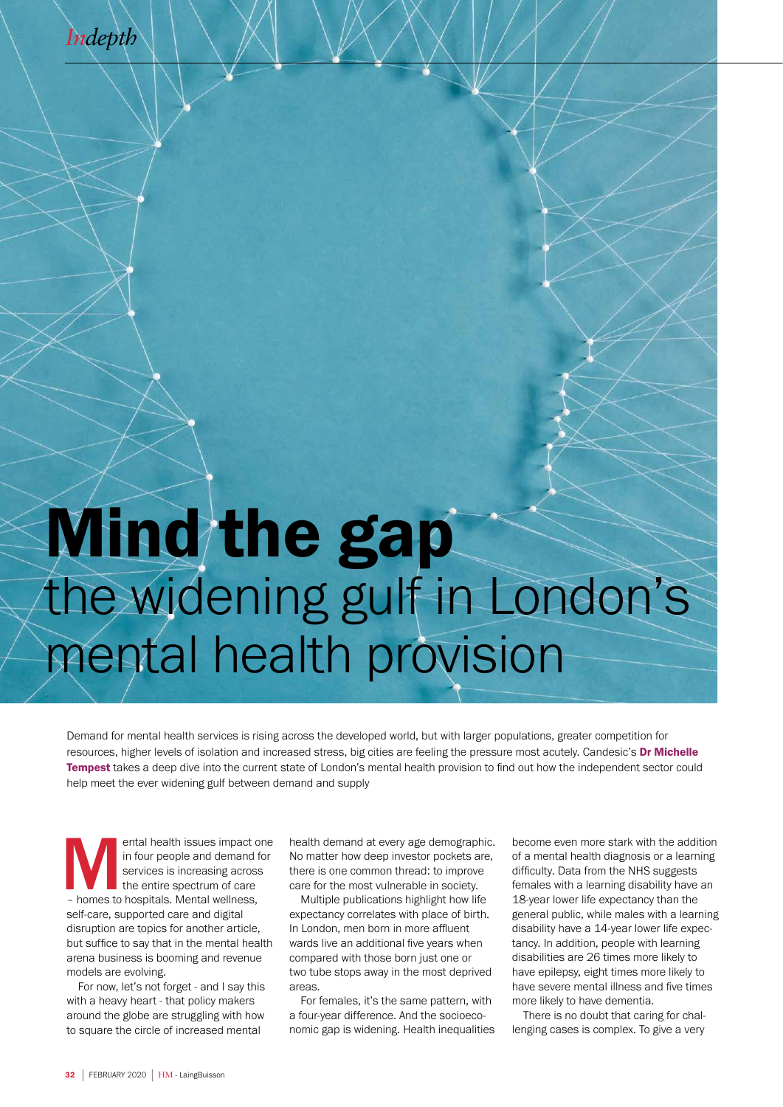

## Mind the gap the widening gulf in London's mental health provision

Demand for mental health services is rising across the developed world, but with larger populations, greater competition for resources, higher levels of isolation and increased stress, big cities are feeling the pressure most acutely. Candesic's Dr Michelle Tempest takes a deep dive into the current state of London's mental health provision to find out how the independent sector could help meet the ever widening gulf between demand and supply

ental health issues impact one<br>
in four people and demand for<br>
services is increasing across<br>
the entire spectrum of care<br>
- homes to hospitals. Mental wellness, in four people and demand for services is increasing across the entire spectrum of care self-care, supported care and digital disruption are topics for another article, but suffice to say that in the mental health arena business is booming and revenue models are evolving.

For now, let's not forget - and I say this with a heavy heart - that policy makers around the globe are struggling with how to square the circle of increased mental

health demand at every age demographic. No matter how deep investor pockets are, there is one common thread: to improve care for the most vulnerable in society.

Multiple publications highlight how life expectancy correlates with place of birth. In London, men born in more affluent wards live an additional five years when compared with those born just one or two tube stops away in the most deprived areas.

For females, it's the same pattern, with a four-year difference. And the socioeconomic gap is widening. Health inequalities become even more stark with the addition of a mental health diagnosis or a learning difficulty. Data from the NHS suggests females with a learning disability have an 18-year lower life expectancy than the general public, while males with a learning disability have a 14-year lower life expectancy. In addition, people with learning disabilities are 26 times more likely to have epilepsy, eight times more likely to have severe mental illness and five times more likely to have dementia.

There is no doubt that caring for challenging cases is complex. To give a very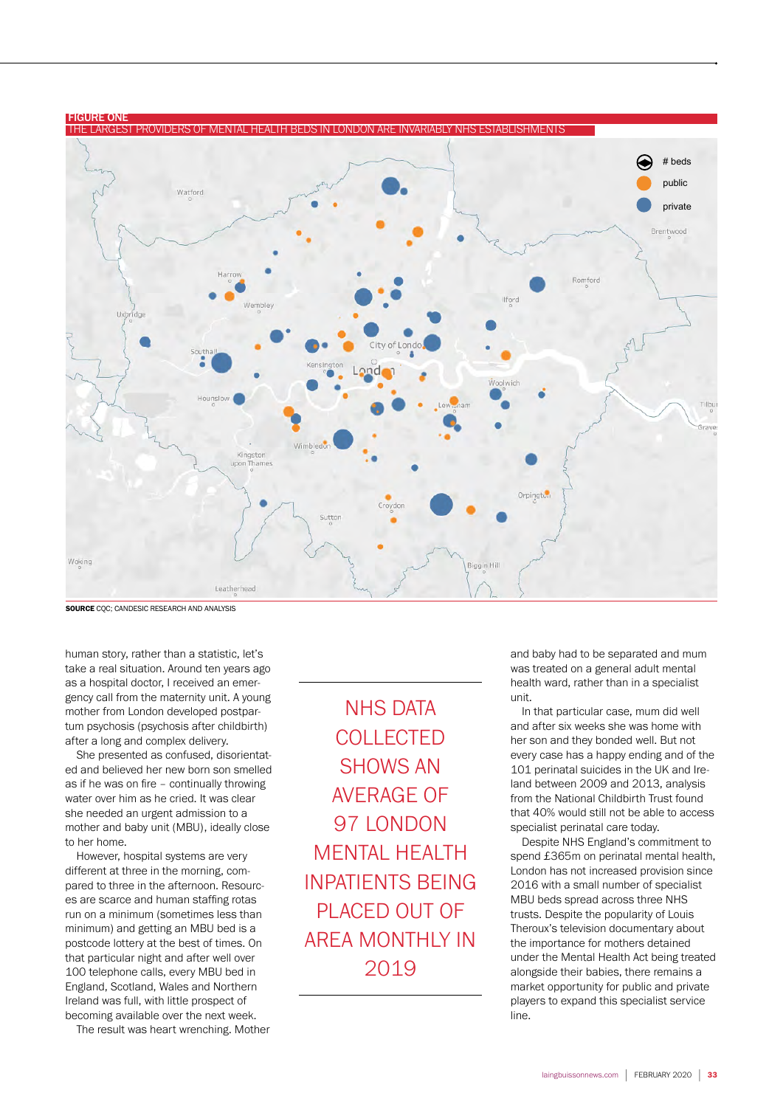

SOURCE CQC; CANDESIC RESEARCH AND ANALYSIS

human story, rather than a statistic, let's take a real situation. Around ten years ago as a hospital doctor, I received an emergency call from the maternity unit. A young mother from London developed postpartum psychosis (psychosis after childbirth) after a long and complex delivery.

She presented as confused, disorientated and believed her new born son smelled as if he was on fire – continually throwing water over him as he cried. It was clear she needed an urgent admission to a mother and baby unit (MBU), ideally close to her home.

However, hospital systems are very different at three in the morning, compared to three in the afternoon. Resources are scarce and human staffing rotas run on a minimum (sometimes less than minimum) and getting an MBU bed is a postcode lottery at the best of times. On that particular night and after well over 100 telephone calls, every MBU bed in England, Scotland, Wales and Northern Ireland was full, with little prospect of becoming available over the next week.

The result was heart wrenching. Mother

NHS DATA **COLLECTED** SHOWS AN AVERAGE OF 97 LONDON MENTAL HEALTH INPATIENTS BEING PLACED OUT OF AREA MONTHLY IN 2019

and baby had to be separated and mum was treated on a general adult mental health ward, rather than in a specialist unit.

In that particular case, mum did well and after six weeks she was home with her son and they bonded well. But not every case has a happy ending and of the 101 perinatal suicides in the UK and Ireland between 2009 and 2013, analysis from the National Childbirth Trust found that 40% would still not be able to access specialist perinatal care today.

Despite NHS England's commitment to spend £365m on perinatal mental health, London has not increased provision since 2016 with a small number of specialist MBU beds spread across three NHS trusts. Despite the popularity of Louis Theroux's television documentary about the importance for mothers detained under the Mental Health Act being treated alongside their babies, there remains a market opportunity for public and private players to expand this specialist service line.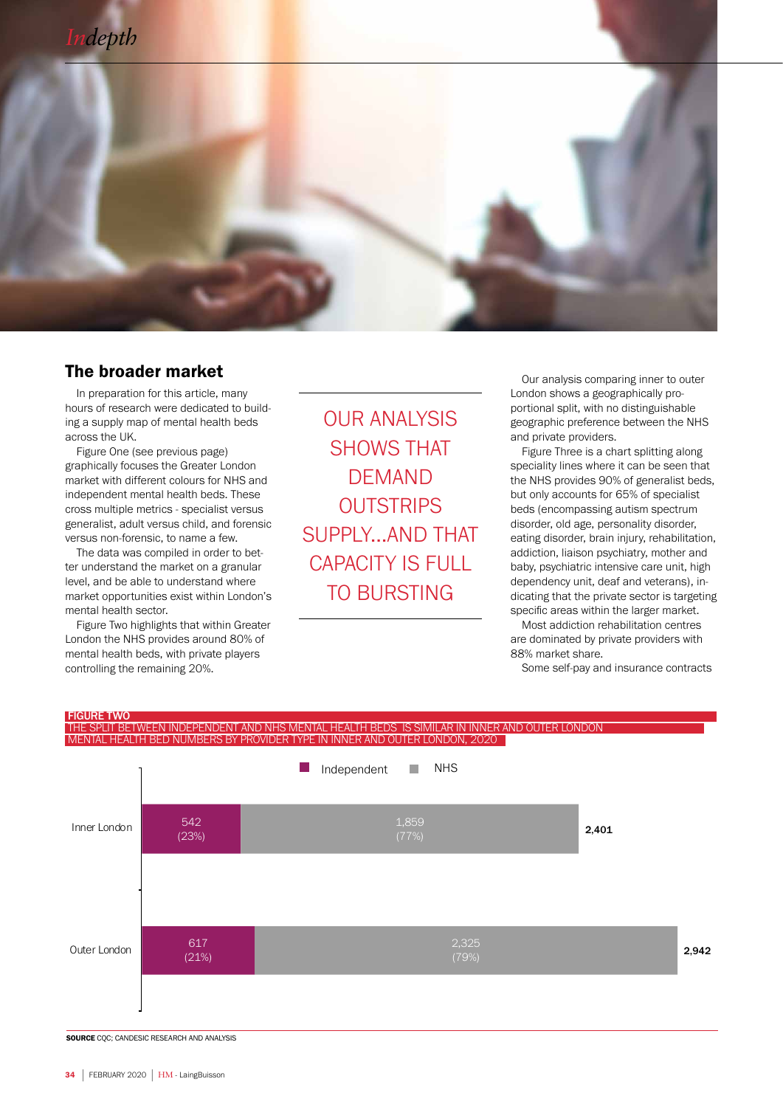

## The broader market

In preparation for this article, many hours of research were dedicated to building a supply map of mental health beds across the UK.

Figure One (see previous page) graphically focuses the Greater London market with different colours for NHS and independent mental health beds. These cross multiple metrics - specialist versus generalist, adult versus child, and forensic versus non-forensic, to name a few.

The data was compiled in order to better understand the market on a granular level, and be able to understand where market opportunities exist within London's mental health sector.

Figure Two highlights that within Greater London the NHS provides around 80% of mental health beds, with private players controlling the remaining 20%.

OUR ANALYSIS SHOWS THAT DEMAND **OUTSTRIPS** SUPPLY...AND THAT CAPACITY IS FULL TO BURSTING

Our analysis comparing inner to outer London shows a geographically proportional split, with no distinguishable geographic preference between the NHS and private providers.

Figure Three is a chart splitting along speciality lines where it can be seen that the NHS provides 90% of generalist beds, but only accounts for 65% of specialist beds (encompassing autism spectrum disorder, old age, personality disorder, eating disorder, brain injury, rehabilitation, addiction, liaison psychiatry, mother and baby, psychiatric intensive care unit, high dependency unit, deaf and veterans), indicating that the private sector is targeting specific areas within the larger market.

Most addiction rehabilitation centres are dominated by private providers with 88% market share.

Some self-pay and insurance contracts

## FIGURE TWO THE SPLIT BETWEEN INDEPENDENT AND NHS MENTAL HEALTH BEDS IS SIMILAR IN INNER AND OUTER LONDON MENTAL HEALTH BED NUMBERS BY PROVIDER TYPE IN INNER AND OUTER LONDON, 2020



SOURCE CQC; CANDESIC RESEARCH AND ANALYSIS